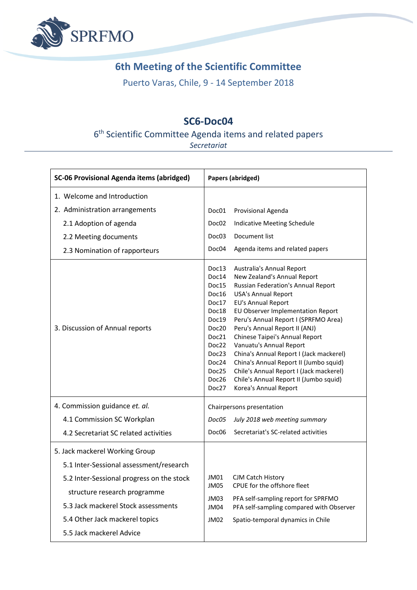

## **6th Meeting of the Scientific Committee**

Puerto Varas, Chile, 9 - 14 September 2018

## **SC6-Doc04**

## 6<sup>th</sup> Scientific Committee Agenda items and related papers

*Secretariat*

| <b>SC-06 Provisional Agenda items (abridged)</b>                                                                                                                                                                                                            | Papers (abridged)                                                                                                                                                                                                                                                                                                                                                                                                                                                                                                                                                                                                                                                                                                                      |  |  |
|-------------------------------------------------------------------------------------------------------------------------------------------------------------------------------------------------------------------------------------------------------------|----------------------------------------------------------------------------------------------------------------------------------------------------------------------------------------------------------------------------------------------------------------------------------------------------------------------------------------------------------------------------------------------------------------------------------------------------------------------------------------------------------------------------------------------------------------------------------------------------------------------------------------------------------------------------------------------------------------------------------------|--|--|
| 1. Welcome and Introduction                                                                                                                                                                                                                                 |                                                                                                                                                                                                                                                                                                                                                                                                                                                                                                                                                                                                                                                                                                                                        |  |  |
| 2. Administration arrangements<br>2.1 Adoption of agenda<br>2.2 Meeting documents<br>2.3 Nomination of rapporteurs<br>3. Discussion of Annual reports                                                                                                       | Provisional Agenda<br>Doc01<br>Indicative Meeting Schedule<br>Doc02<br>Document list<br>Doc03<br>Agenda items and related papers<br>Doc04<br>Doc13<br>Australia's Annual Report<br>Doc14<br>New Zealand's Annual Report<br>Russian Federation's Annual Report<br>Doc15<br>Doc16<br><b>USA's Annual Report</b><br><b>EU's Annual Report</b><br>Doc17<br>EU Observer Implementation Report<br>Doc18<br>Peru's Annual Report I (SPRFMO Area)<br>Doc19<br>Peru's Annual Report II (ANJ)<br>Doc20<br>Chinese Taipei's Annual Report<br>Doc21<br>Vanuatu's Annual Report<br>Doc22<br>China's Annual Report I (Jack mackerel)<br>Doc23<br>China's Annual Report II (Jumbo squid)<br>Doc24<br>Chile's Annual Report I (Jack mackerel)<br>Doc25 |  |  |
|                                                                                                                                                                                                                                                             | Chile's Annual Report II (Jumbo squid)<br>Doc26<br>Doc27<br>Korea's Annual Report                                                                                                                                                                                                                                                                                                                                                                                                                                                                                                                                                                                                                                                      |  |  |
| 4. Commission guidance et. al.                                                                                                                                                                                                                              | Chairpersons presentation                                                                                                                                                                                                                                                                                                                                                                                                                                                                                                                                                                                                                                                                                                              |  |  |
| 4.1 Commission SC Workplan                                                                                                                                                                                                                                  | July 2018 web meeting summary<br>Doc05                                                                                                                                                                                                                                                                                                                                                                                                                                                                                                                                                                                                                                                                                                 |  |  |
| 4.2 Secretariat SC related activities                                                                                                                                                                                                                       | Secretariat's SC-related activities<br>Doc06                                                                                                                                                                                                                                                                                                                                                                                                                                                                                                                                                                                                                                                                                           |  |  |
| 5. Jack mackerel Working Group<br>5.1 Inter-Sessional assessment/research<br>5.2 Inter-Sessional progress on the stock<br>structure research programme<br>5.3 Jack mackerel Stock assessments<br>5.4 Other Jack mackerel topics<br>5.5 Jack mackerel Advice | JM01<br>CJM Catch History<br>CPUE for the offshore fleet<br>JM05<br>JM03<br>PFA self-sampling report for SPRFMO<br>PFA self-sampling compared with Observer<br>JM04<br>Spatio-temporal dynamics in Chile<br>JM02                                                                                                                                                                                                                                                                                                                                                                                                                                                                                                                       |  |  |
|                                                                                                                                                                                                                                                             |                                                                                                                                                                                                                                                                                                                                                                                                                                                                                                                                                                                                                                                                                                                                        |  |  |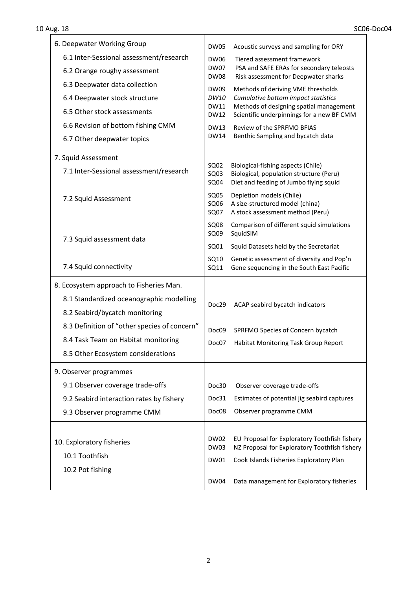٦

| 6. Deepwater Working Group                   | DW05                                                                                                                         | Acoustic surveys and sampling for ORY                                                                                                                                                                                                                                                                                                                   |
|----------------------------------------------|------------------------------------------------------------------------------------------------------------------------------|---------------------------------------------------------------------------------------------------------------------------------------------------------------------------------------------------------------------------------------------------------------------------------------------------------------------------------------------------------|
| 6.1 Inter-Sessional assessment/research      | <b>DW06</b><br><b>DW07</b><br><b>DW08</b><br><b>DW09</b><br>DW10<br><b>DW11</b><br><b>DW12</b><br><b>DW13</b><br><b>DW14</b> | Tiered assessment framework<br>PSA and SAFE ERAs for secondary teleosts<br>Risk assessment for Deepwater sharks<br>Methods of deriving VME thresholds<br>Cumulative bottom impact statistics<br>Methods of designing spatial management<br>Scientific underpinnings for a new BF CMM<br>Review of the SPRFMO BFIAS<br>Benthic Sampling and bycatch data |
| 6.2 Orange roughy assessment                 |                                                                                                                              |                                                                                                                                                                                                                                                                                                                                                         |
| 6.3 Deepwater data collection                |                                                                                                                              |                                                                                                                                                                                                                                                                                                                                                         |
| 6.4 Deepwater stock structure                |                                                                                                                              |                                                                                                                                                                                                                                                                                                                                                         |
| 6.5 Other stock assessments                  |                                                                                                                              |                                                                                                                                                                                                                                                                                                                                                         |
| 6.6 Revision of bottom fishing CMM           |                                                                                                                              |                                                                                                                                                                                                                                                                                                                                                         |
| 6.7 Other deepwater topics                   |                                                                                                                              |                                                                                                                                                                                                                                                                                                                                                         |
| 7. Squid Assessment                          |                                                                                                                              |                                                                                                                                                                                                                                                                                                                                                         |
| 7.1 Inter-Sessional assessment/research      | SQ02<br>SQ03<br>SQ04                                                                                                         | Biological-fishing aspects (Chile)<br>Biological, population structure (Peru)<br>Diet and feeding of Jumbo flying squid                                                                                                                                                                                                                                 |
| 7.2 Squid Assessment                         | SQ05<br>SQ06<br>SQ07                                                                                                         | Depletion models (Chile)<br>A size-structured model (china)<br>A stock assessment method (Peru)                                                                                                                                                                                                                                                         |
| 7.3 Squid assessment data                    | <b>SQ08</b><br>SQ09                                                                                                          | Comparison of different squid simulations<br>SquidSIM                                                                                                                                                                                                                                                                                                   |
|                                              | SQ01                                                                                                                         | Squid Datasets held by the Secretariat                                                                                                                                                                                                                                                                                                                  |
| 7.4 Squid connectivity                       | SQ10<br>SQ11                                                                                                                 | Genetic assessment of diversity and Pop'n<br>Gene sequencing in the South East Pacific                                                                                                                                                                                                                                                                  |
| 8. Ecosystem approach to Fisheries Man.      |                                                                                                                              |                                                                                                                                                                                                                                                                                                                                                         |
| 8.1 Standardized oceanographic modelling     | Doc29                                                                                                                        |                                                                                                                                                                                                                                                                                                                                                         |
| 8.2 Seabird/bycatch monitoring               |                                                                                                                              | ACAP seabird bycatch indicators                                                                                                                                                                                                                                                                                                                         |
| 8.3 Definition of "other species of concern" | Doc09                                                                                                                        | SPRFMO Species of Concern bycatch                                                                                                                                                                                                                                                                                                                       |
| 8.4 Task Team on Habitat monitoring          | Doc07                                                                                                                        | Habitat Monitoring Task Group Report                                                                                                                                                                                                                                                                                                                    |
| 8.5 Other Ecosystem considerations           |                                                                                                                              |                                                                                                                                                                                                                                                                                                                                                         |
| 9. Observer programmes                       |                                                                                                                              |                                                                                                                                                                                                                                                                                                                                                         |
| 9.1 Observer coverage trade-offs             | Doc30                                                                                                                        | Observer coverage trade-offs                                                                                                                                                                                                                                                                                                                            |
| 9.2 Seabird interaction rates by fishery     | Doc31                                                                                                                        | Estimates of potential jig seabird captures                                                                                                                                                                                                                                                                                                             |
| 9.3 Observer programme CMM                   | Doc08                                                                                                                        | Observer programme CMM                                                                                                                                                                                                                                                                                                                                  |
|                                              |                                                                                                                              |                                                                                                                                                                                                                                                                                                                                                         |
| 10. Exploratory fisheries                    | DW02<br>DW03                                                                                                                 | EU Proposal for Exploratory Toothfish fishery<br>NZ Proposal for Exploratory Toothfish fishery                                                                                                                                                                                                                                                          |
| 10.1 Toothfish                               | <b>DW01</b>                                                                                                                  | Cook Islands Fisheries Exploratory Plan                                                                                                                                                                                                                                                                                                                 |
| 10.2 Pot fishing                             |                                                                                                                              |                                                                                                                                                                                                                                                                                                                                                         |
|                                              | <b>DW04</b>                                                                                                                  | Data management for Exploratory fisheries                                                                                                                                                                                                                                                                                                               |